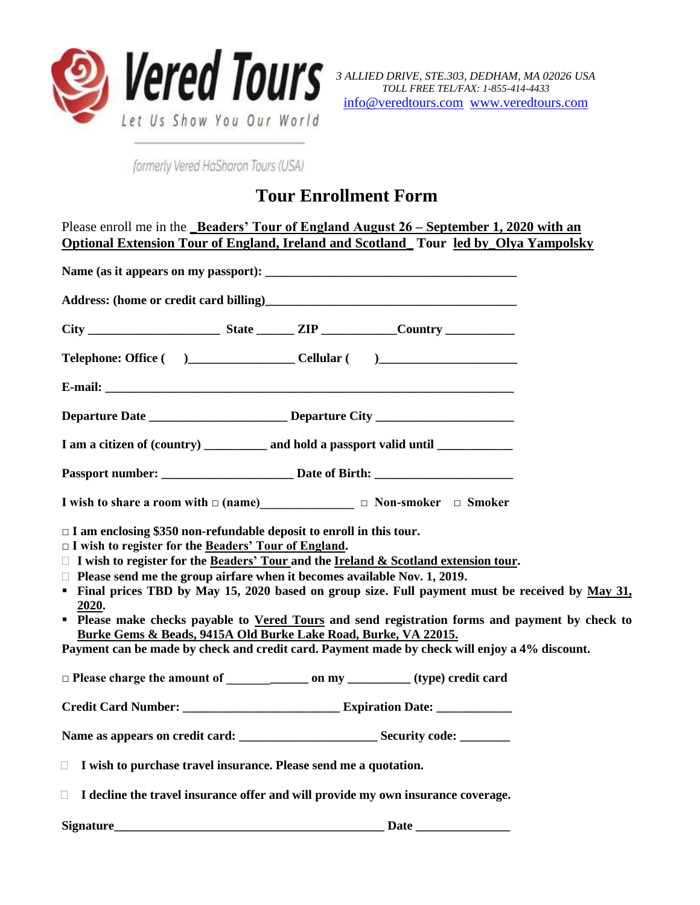

*3 ALLIED DRIVE, STE.303, DEDHAM, MA 02026 USA TOLL FREE TEL/FAX: 1-855-414-4433* [info@veredtours.com](mailto:info@veredtours.com) [www.veredtours.com](http://www.veredtours.com/)

formerly Vered HaSharon Tours (USA)

## **Tour Enrollment Form**

| Please enroll me in the Beaders' Tour of England August 26 – September 1, 2020 with an<br>Optional Extension Tour of England, Ireland and Scotland_Tour led by_Olya Yampolsky                                                                                                                                                                                                                                                                                                                                                                                                                                      |
|--------------------------------------------------------------------------------------------------------------------------------------------------------------------------------------------------------------------------------------------------------------------------------------------------------------------------------------------------------------------------------------------------------------------------------------------------------------------------------------------------------------------------------------------------------------------------------------------------------------------|
|                                                                                                                                                                                                                                                                                                                                                                                                                                                                                                                                                                                                                    |
| Address: (home or credit card billing)<br><u>Letter and the contract of the contract of the contract of the contract of the contract of the contract of the contract of the contract of the contract of the contract of the contra</u>                                                                                                                                                                                                                                                                                                                                                                             |
|                                                                                                                                                                                                                                                                                                                                                                                                                                                                                                                                                                                                                    |
| Telephone: Office ( ) _______________________Cellular ( ) _______________________                                                                                                                                                                                                                                                                                                                                                                                                                                                                                                                                  |
|                                                                                                                                                                                                                                                                                                                                                                                                                                                                                                                                                                                                                    |
|                                                                                                                                                                                                                                                                                                                                                                                                                                                                                                                                                                                                                    |
| I am a citizen of (country) ___________ and hold a passport valid until _________                                                                                                                                                                                                                                                                                                                                                                                                                                                                                                                                  |
|                                                                                                                                                                                                                                                                                                                                                                                                                                                                                                                                                                                                                    |
| I wish to share a room with $\square$ (name) $\square$ $\square$ Non-smoker $\square$ Smoker                                                                                                                                                                                                                                                                                                                                                                                                                                                                                                                       |
| $\Box$ I am enclosing \$350 non-refundable deposit to enroll in this tour.<br>$\Box$ I wish to register for the Beaders' Tour of England.<br>$\Box$ I wish to register for the Beaders' Tour and the Ireland & Scotland extension tour.<br>$\Box$ Please send me the group airfare when it becomes available Nov. 1, 2019.<br>• Final prices TBD by May 15, 2020 based on group size. Full payment must be received by May 31,<br>2020.<br><b>Please make checks payable to Vered Tours and send registration forms and payment by check to</b><br>Burke Gems & Beads, 9415A Old Burke Lake Road, Burke, VA 22015. |
| Payment can be made by check and credit card. Payment made by check will enjoy a 4% discount.                                                                                                                                                                                                                                                                                                                                                                                                                                                                                                                      |
|                                                                                                                                                                                                                                                                                                                                                                                                                                                                                                                                                                                                                    |
|                                                                                                                                                                                                                                                                                                                                                                                                                                                                                                                                                                                                                    |
| I wish to purchase travel insurance. Please send me a quotation.<br>$\Box$                                                                                                                                                                                                                                                                                                                                                                                                                                                                                                                                         |
| I decline the travel insurance offer and will provide my own insurance coverage.<br>□                                                                                                                                                                                                                                                                                                                                                                                                                                                                                                                              |
|                                                                                                                                                                                                                                                                                                                                                                                                                                                                                                                                                                                                                    |